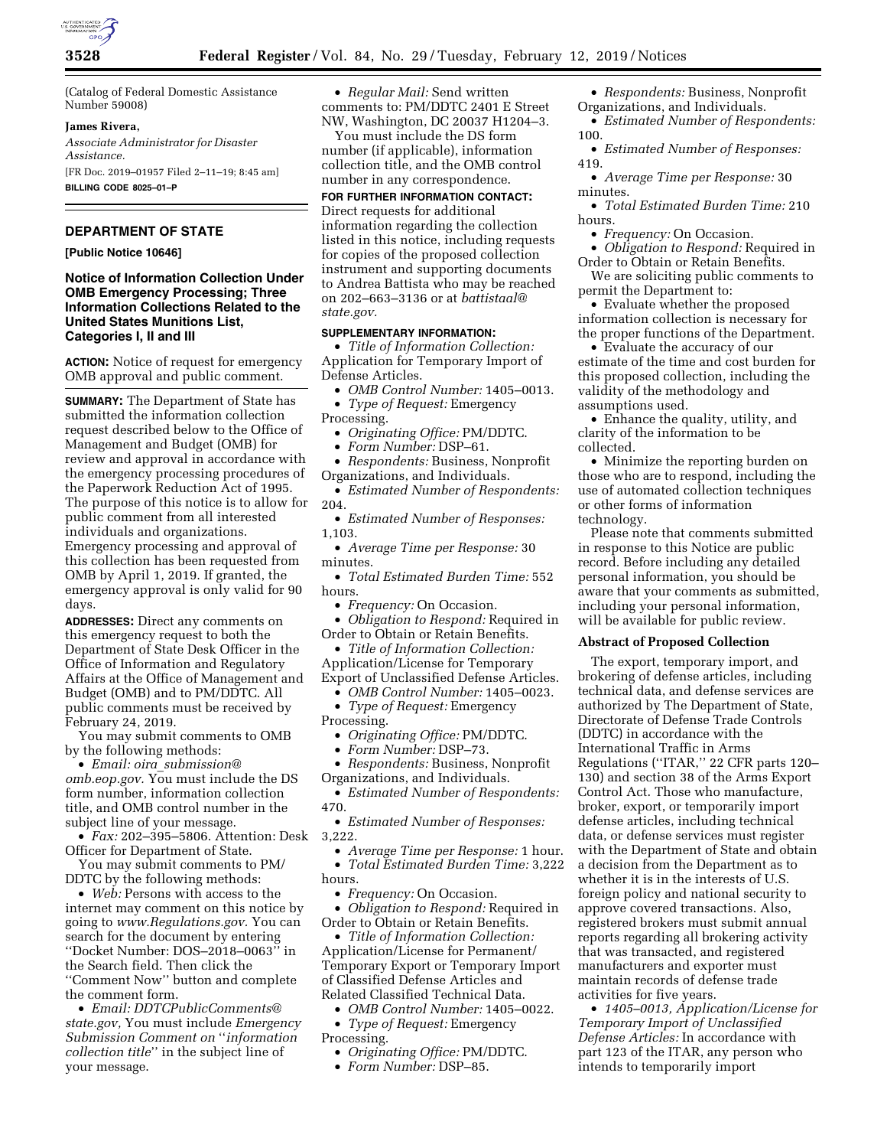

(Catalog of Federal Domestic Assistance Number 59008)

## **James Rivera,**

*Associate Administrator for Disaster Assistance.*  [FR Doc. 2019–01957 Filed 2–11–19; 8:45 am]

**BILLING CODE 8025–01–P** 

# **DEPARTMENT OF STATE**

### **[Public Notice 10646]**

## **Notice of Information Collection Under OMB Emergency Processing; Three Information Collections Related to the United States Munitions List, Categories I, II and III**

**ACTION:** Notice of request for emergency OMB approval and public comment.

**SUMMARY:** The Department of State has submitted the information collection request described below to the Office of Management and Budget (OMB) for review and approval in accordance with the emergency processing procedures of the Paperwork Reduction Act of 1995. The purpose of this notice is to allow for public comment from all interested individuals and organizations. Emergency processing and approval of this collection has been requested from OMB by April 1, 2019. If granted, the emergency approval is only valid for 90 days.

**ADDRESSES:** Direct any comments on this emergency request to both the Department of State Desk Officer in the Office of Information and Regulatory Affairs at the Office of Management and Budget (OMB) and to PM/DDTC. All public comments must be received by February 24, 2019.

You may submit comments to OMB by the following methods:

• *Email: oira*\_*[submission@](mailto:oira_submission@omb.eop.gov) [omb.eop.gov.](mailto:oira_submission@omb.eop.gov)* You must include the DS form number, information collection title, and OMB control number in the subject line of your message.

• *Fax:* 202–395–5806. Attention: Desk Officer for Department of State.

You may submit comments to PM/ DDTC by the following methods:

• *Web:* Persons with access to the internet may comment on this notice by going to *[www.Regulations.gov.](http://www.Regulations.gov)* You can search for the document by entering ''Docket Number: DOS–2018–0063'' in the Search field. Then click the ''Comment Now'' button and complete the comment form.

• *Email: [DDTCPublicComments@](mailto:DDTCPublicComments@state.gov) [state.gov,](mailto:DDTCPublicComments@state.gov)* You must include *Emergency Submission Comment on* ''*information collection title*'' in the subject line of your message.

• *Regular Mail:* Send written comments to: PM/DDTC 2401 E Street NW, Washington, DC 20037 H1204–3.

You must include the DS form number (if applicable), information collection title, and the OMB control number in any correspondence.

**FOR FURTHER INFORMATION CONTACT:**  Direct requests for additional information regarding the collection listed in this notice, including requests for copies of the proposed collection instrument and supporting documents to Andrea Battista who may be reached

on 202–663–3136 or at *[battistaal@](mailto:battistaal@state.gov) [state.gov.](mailto:battistaal@state.gov)* 

# **SUPPLEMENTARY INFORMATION:**

• *Title of Information Collection:*  Application for Temporary Import of Defense Articles.

• *OMB Control Number:* 1405–0013. • *Type of Request:* Emergency

Processing.

• *Originating Office:* PM/DDTC.

• *Form Number:* DSP–61.

• *Respondents:* Business, Nonprofit Organizations, and Individuals.

• *Estimated Number of Respondents:*  204.

• *Estimated Number of Responses:*  1,103.

• *Average Time per Response:* 30 minutes.

• *Total Estimated Burden Time:* 552 hours.

• *Frequency:* On Occasion.

• *Obligation to Respond:* Required in Order to Obtain or Retain Benefits.

• *Title of Information Collection:* 

Application/License for Temporary Export of Unclassified Defense Articles.

• *OMB Control Number:* 1405–0023. • *Type of Request:* Emergency Processing.

- *Originating Office:* PM/DDTC.
- *Form Number:* DSP–73.

• *Respondents:* Business, Nonprofit Organizations, and Individuals.

• *Estimated Number of Respondents:*  470.

• *Estimated Number of Responses:*  3,222.

• *Average Time per Response:* 1 hour. • *Total Estimated Burden Time:* 3,222 hours.

• *Frequency:* On Occasion.

• *Obligation to Respond:* Required in Order to Obtain or Retain Benefits.

• *Title of Information Collection:*  Application/License for Permanent/ Temporary Export or Temporary Import of Classified Defense Articles and Related Classified Technical Data.

• *OMB Control Number:* 1405–0022.

• *Type of Request:* Emergency Processing.

• *Originating Office:* PM/DDTC.

• *Form Number:* DSP–85.

• *Respondents:* Business, Nonprofit Organizations, and Individuals. • *Estimated Number of Respondents:* 

100. • *Estimated Number of Responses:* 

419. • *Average Time per Response:* 30

minutes.

• *Total Estimated Burden Time:* 210 hours.

• *Frequency:* On Occasion.

• *Obligation to Respond:* Required in Order to Obtain or Retain Benefits.

We are soliciting public comments to permit the Department to:

• Evaluate whether the proposed information collection is necessary for the proper functions of the Department.

• Evaluate the accuracy of our estimate of the time and cost burden for this proposed collection, including the validity of the methodology and assumptions used.

• Enhance the quality, utility, and clarity of the information to be collected.

• Minimize the reporting burden on those who are to respond, including the use of automated collection techniques or other forms of information technology.

Please note that comments submitted in response to this Notice are public record. Before including any detailed personal information, you should be aware that your comments as submitted, including your personal information, will be available for public review.

### **Abstract of Proposed Collection**

The export, temporary import, and brokering of defense articles, including technical data, and defense services are authorized by The Department of State, Directorate of Defense Trade Controls (DDTC) in accordance with the International Traffic in Arms Regulations (''ITAR,'' 22 CFR parts 120– 130) and section 38 of the Arms Export Control Act. Those who manufacture, broker, export, or temporarily import defense articles, including technical data, or defense services must register with the Department of State and obtain a decision from the Department as to whether it is in the interests of U.S. foreign policy and national security to approve covered transactions. Also, registered brokers must submit annual reports regarding all brokering activity that was transacted, and registered manufacturers and exporter must maintain records of defense trade activities for five years.

• *1405–0013, Application/License for Temporary Import of Unclassified Defense Articles:* In accordance with part 123 of the ITAR, any person who intends to temporarily import